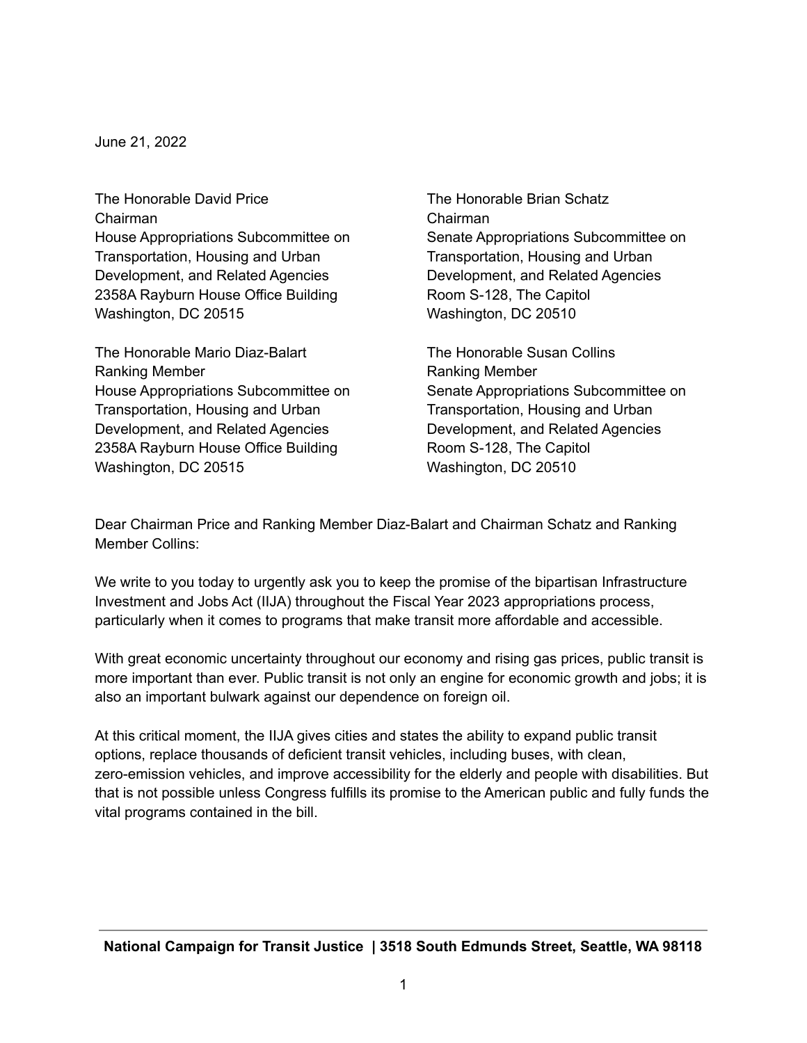June 21, 2022

The Honorable David Price The The Honorable Brian Schatz Chairman Chairman Transportation, Housing and Urban Transportation, Housing and Urban Development, and Related Agencies Development, and Related Agencies 2358A Rayburn House Office Building Room S-128, The Capitol Washington, DC 20515 Washington, DC 20510

The Honorable Mario Diaz-Balart The Honorable Susan Collins Ranking Member **Ranking Member** Ranking Member Transportation, Housing and Urban Transportation, Housing and Urban Development, and Related Agencies Development, and Related Agencies 2358A Rayburn House Office Building Room S-128, The Capitol Washington, DC 20515 Washington, DC 20510

House Appropriations Subcommittee on Senate Appropriations Subcommittee on

House Appropriations Subcommittee on Senate Appropriations Subcommittee on

Dear Chairman Price and Ranking Member Diaz-Balart and Chairman Schatz and Ranking Member Collins:

We write to you today to urgently ask you to keep the promise of the bipartisan Infrastructure Investment and Jobs Act (IIJA) throughout the Fiscal Year 2023 appropriations process, particularly when it comes to programs that make transit more affordable and accessible.

With great economic uncertainty throughout our economy and rising gas prices, public transit is more important than ever. Public transit is not only an engine for economic growth and jobs; it is also an important bulwark against our dependence on foreign oil.

At this critical moment, the IIJA gives cities and states the ability to expand public transit options, replace thousands of deficient transit vehicles, including buses, with clean, zero-emission vehicles, and improve accessibility for the elderly and people with disabilities. But that is not possible unless Congress fulfills its promise to the American public and fully funds the vital programs contained in the bill.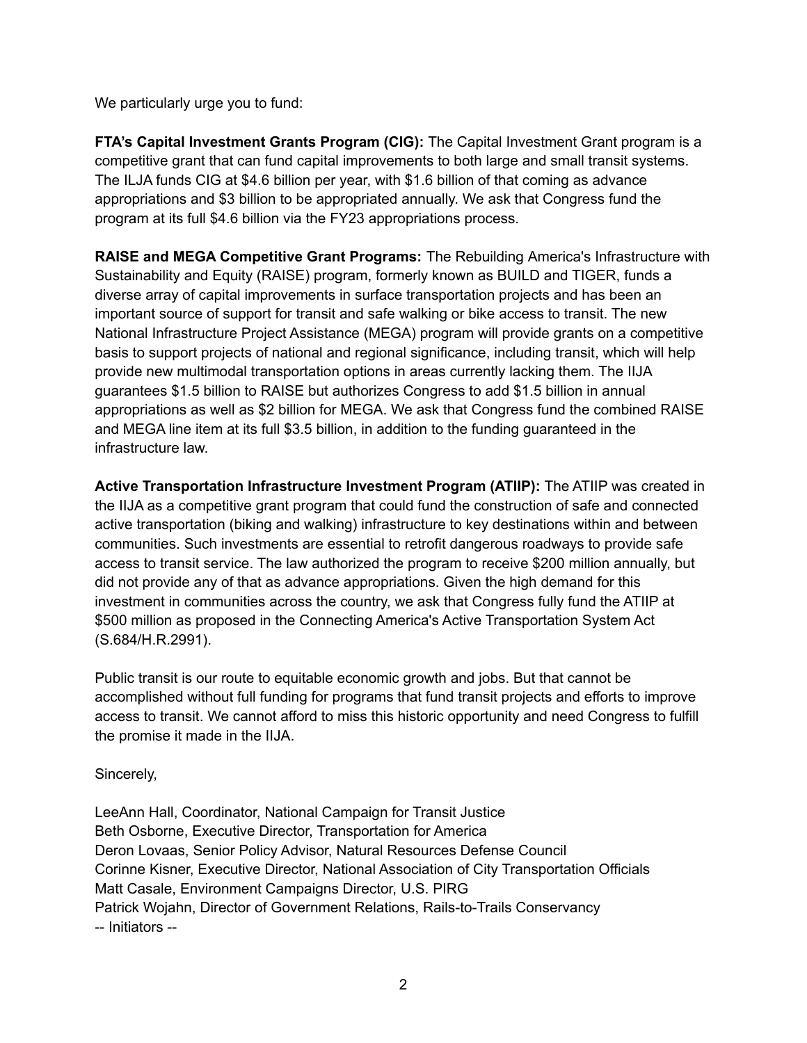We particularly urge you to fund:

**FTA's Capital Investment Grants Program (CIG):** The Capital Investment Grant program is a competitive grant that can fund capital improvements to both large and small transit systems. The ILJA funds CIG at \$4.6 billion per year, with \$1.6 billion of that coming as advance appropriations and \$3 billion to be appropriated annually. We ask that Congress fund the program at its full \$4.6 billion via the FY23 appropriations process.

**RAISE and MEGA Competitive Grant Programs:** The Rebuilding America's Infrastructure with Sustainability and Equity (RAISE) program, formerly known as BUILD and TIGER, funds a diverse array of capital improvements in surface transportation projects and has been an important source of support for transit and safe walking or bike access to transit. The new National Infrastructure Project Assistance (MEGA) program will provide grants on a competitive basis to support projects of national and regional significance, including transit, which will help provide new multimodal transportation options in areas currently lacking them. The IIJA guarantees \$1.5 billion to RAISE but authorizes Congress to add \$1.5 billion in annual appropriations as well as \$2 billion for MEGA. We ask that Congress fund the combined RAISE and MEGA line item at its full \$3.5 billion, in addition to the funding guaranteed in the infrastructure law.

**Active Transportation Infrastructure Investment Program (ATIIP):** The ATIIP was created in the IIJA as a competitive grant program that could fund the construction of safe and connected active transportation (biking and walking) infrastructure to key destinations within and between communities. Such investments are essential to retrofit dangerous roadways to provide safe access to transit service. The law authorized the program to receive \$200 million annually, but did not provide any of that as advance appropriations. Given the high demand for this investment in communities across the country, we ask that Congress fully fund the ATIIP at \$500 million as proposed in the Connecting America's Active Transportation System Act (S.684/H.R.2991).

Public transit is our route to equitable economic growth and jobs. But that cannot be accomplished without full funding for programs that fund transit projects and efforts to improve access to transit. We cannot afford to miss this historic opportunity and need Congress to fulfill the promise it made in the IIJA.

Sincerely,

LeeAnn Hall, Coordinator, National Campaign for Transit Justice Beth Osborne, Executive Director, Transportation for America Deron Lovaas, Senior Policy Advisor, Natural Resources Defense Council Corinne Kisner, Executive Director, National Association of City Transportation Officials Matt Casale, Environment Campaigns Director, U.S. PIRG Patrick Wojahn, Director of Government Relations, Rails-to-Trails Conservancy -- Initiators --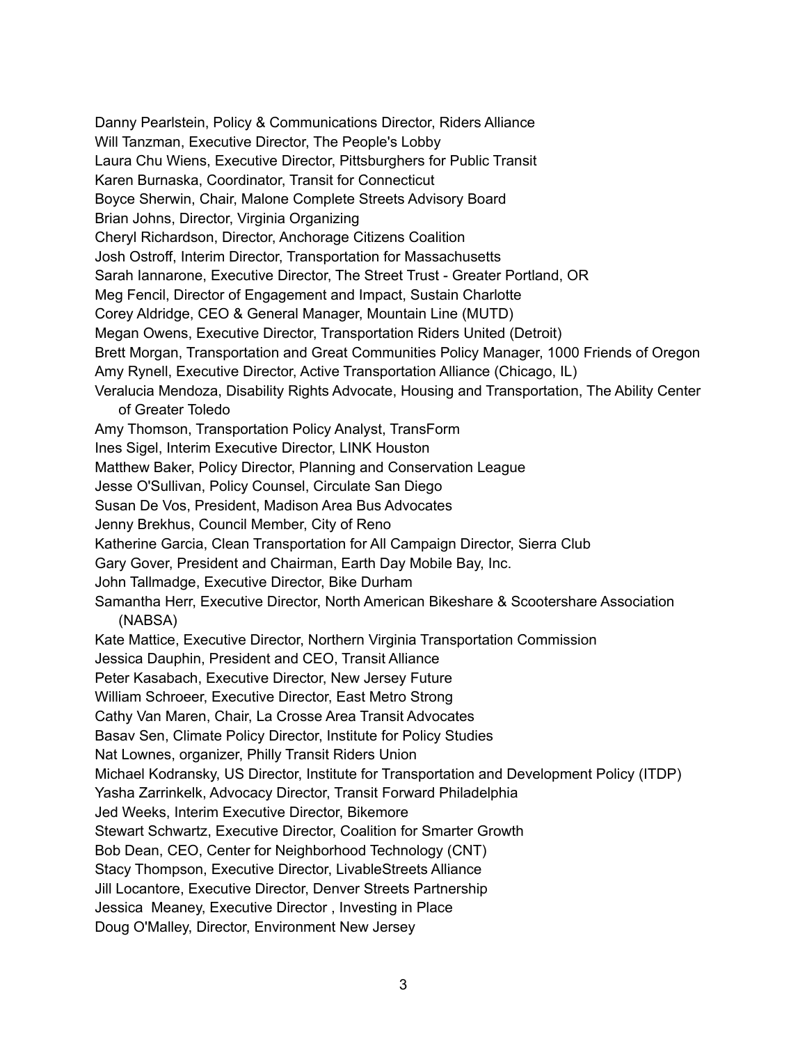Danny Pearlstein, Policy & Communications Director, Riders Alliance Will Tanzman, Executive Director, The People's Lobby Laura Chu Wiens, Executive Director, Pittsburghers for Public Transit Karen Burnaska, Coordinator, Transit for Connecticut Boyce Sherwin, Chair, Malone Complete Streets Advisory Board Brian Johns, Director, Virginia Organizing Cheryl Richardson, Director, Anchorage Citizens Coalition Josh Ostroff, Interim Director, Transportation for Massachusetts Sarah Iannarone, Executive Director, The Street Trust - Greater Portland, OR Meg Fencil, Director of Engagement and Impact, Sustain Charlotte Corey Aldridge, CEO & General Manager, Mountain Line (MUTD) Megan Owens, Executive Director, Transportation Riders United (Detroit) Brett Morgan, Transportation and Great Communities Policy Manager, 1000 Friends of Oregon Amy Rynell, Executive Director, Active Transportation Alliance (Chicago, IL) Veralucia Mendoza, Disability Rights Advocate, Housing and Transportation, The Ability Center of Greater Toledo Amy Thomson, Transportation Policy Analyst, TransForm Ines Sigel, Interim Executive Director, LINK Houston Matthew Baker, Policy Director, Planning and Conservation League Jesse O'Sullivan, Policy Counsel, Circulate San Diego Susan De Vos, President, Madison Area Bus Advocates Jenny Brekhus, Council Member, City of Reno Katherine Garcia, Clean Transportation for All Campaign Director, Sierra Club Gary Gover, President and Chairman, Earth Day Mobile Bay, Inc. John Tallmadge, Executive Director, Bike Durham Samantha Herr, Executive Director, North American Bikeshare & Scootershare Association (NABSA) Kate Mattice, Executive Director, Northern Virginia Transportation Commission Jessica Dauphin, President and CEO, Transit Alliance Peter Kasabach, Executive Director, New Jersey Future William Schroeer, Executive Director, East Metro Strong Cathy Van Maren, Chair, La Crosse Area Transit Advocates Basav Sen, Climate Policy Director, Institute for Policy Studies Nat Lownes, organizer, Philly Transit Riders Union Michael Kodransky, US Director, Institute for Transportation and Development Policy (ITDP) Yasha Zarrinkelk, Advocacy Director, Transit Forward Philadelphia Jed Weeks, Interim Executive Director, Bikemore Stewart Schwartz, Executive Director, Coalition for Smarter Growth Bob Dean, CEO, Center for Neighborhood Technology (CNT) Stacy Thompson, Executive Director, LivableStreets Alliance Jill Locantore, Executive Director, Denver Streets Partnership Jessica Meaney, Executive Director , Investing in Place Doug O'Malley, Director, Environment New Jersey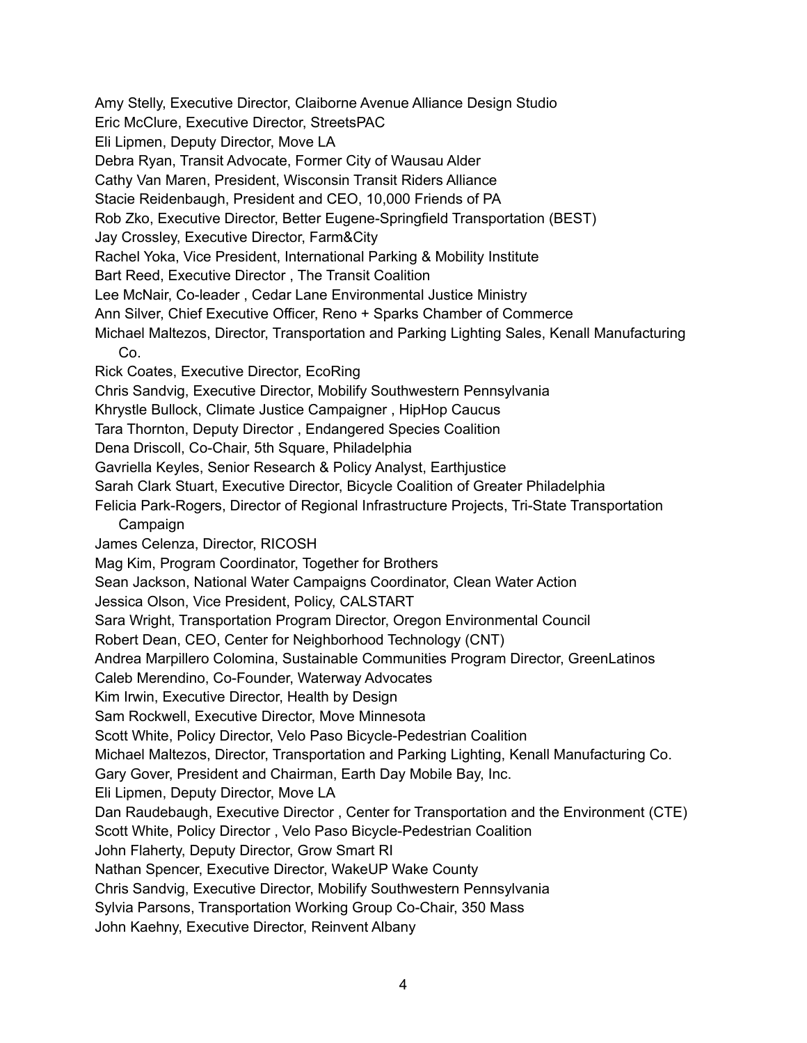Amy Stelly, Executive Director, Claiborne Avenue Alliance Design Studio

Eric McClure, Executive Director, StreetsPAC

Eli Lipmen, Deputy Director, Move LA

Debra Ryan, Transit Advocate, Former City of Wausau Alder

Cathy Van Maren, President, Wisconsin Transit Riders Alliance

Stacie Reidenbaugh, President and CEO, 10,000 Friends of PA

Rob Zko, Executive Director, Better Eugene-Springfield Transportation (BEST)

Jay Crossley, Executive Director, Farm&City

Rachel Yoka, Vice President, International Parking & Mobility Institute

Bart Reed, Executive Director , The Transit Coalition

Lee McNair, Co-leader , Cedar Lane Environmental Justice Ministry

Ann Silver, Chief Executive Officer, Reno + Sparks Chamber of Commerce

Michael Maltezos, Director, Transportation and Parking Lighting Sales, Kenall Manufacturing Co.

Rick Coates, Executive Director, EcoRing

Chris Sandvig, Executive Director, Mobilify Southwestern Pennsylvania

Khrystle Bullock, Climate Justice Campaigner , HipHop Caucus

Tara Thornton, Deputy Director , Endangered Species Coalition

Dena Driscoll, Co-Chair, 5th Square, Philadelphia

Gavriella Keyles, Senior Research & Policy Analyst, Earthjustice

Sarah Clark Stuart, Executive Director, Bicycle Coalition of Greater Philadelphia

Felicia Park-Rogers, Director of Regional Infrastructure Projects, Tri-State Transportation Campaign

James Celenza, Director, RICOSH

Mag Kim, Program Coordinator, Together for Brothers

Sean Jackson, National Water Campaigns Coordinator, Clean Water Action

Jessica Olson, Vice President, Policy, CALSTART

Sara Wright, Transportation Program Director, Oregon Environmental Council

Robert Dean, CEO, Center for Neighborhood Technology (CNT)

Andrea Marpillero Colomina, Sustainable Communities Program Director, GreenLatinos

Caleb Merendino, Co-Founder, Waterway Advocates

Kim Irwin, Executive Director, Health by Design

Sam Rockwell, Executive Director, Move Minnesota

Scott White, Policy Director, Velo Paso Bicycle-Pedestrian Coalition

Michael Maltezos, Director, Transportation and Parking Lighting, Kenall Manufacturing Co.

Gary Gover, President and Chairman, Earth Day Mobile Bay, Inc.

Eli Lipmen, Deputy Director, Move LA

Dan Raudebaugh, Executive Director , Center for Transportation and the Environment (CTE)

Scott White, Policy Director , Velo Paso Bicycle-Pedestrian Coalition

John Flaherty, Deputy Director, Grow Smart RI

Nathan Spencer, Executive Director, WakeUP Wake County

Chris Sandvig, Executive Director, Mobilify Southwestern Pennsylvania

Sylvia Parsons, Transportation Working Group Co-Chair, 350 Mass

John Kaehny, Executive Director, Reinvent Albany